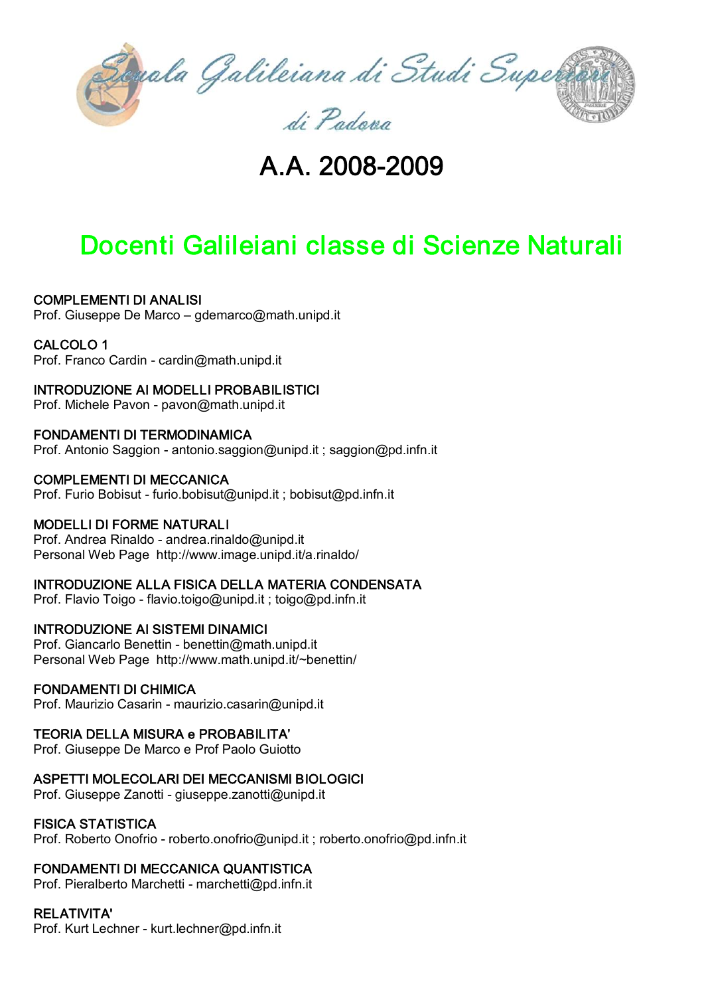

# A.A. 2008-2009

# Docenti Galileiani classe di Scienze Naturali

## COMPLEMENTI DI ANALISI

Prof. Giuseppe De Marco – [gdemarco@math.unipd.it](mailto:gdemarco@math.unipd.it)

#### CALCOLO 1

Prof. Franco Cardin - [cardin@math.unipd.it](mailto:cardin@math.unipd.it)

#### INTRODUZIONE AI MODELLI PROBABILISTICI

Prof. Michele Pavon - [pavon@](mailto:pavon@)math.unipd.it

#### FONDAMENTI DI TERMODINAMICA

Prof. Antonio Saggion - [antonio.saggion@unipd.it](mailto:antonio.saggion@unipd.it) ; saggion@pd.infn.it

#### COMPLEMENTI DI MECCANICA

Prof. Furio Bobisut [furio.bobisut@unipd.it](mailto:furio.bobisut@unipd.it) ; bobisut@pd.infn.it

#### MODELLI DI FORME NATURALI

Prof. Andrea Rinaldo - [andrea.rinaldo@unipd.it](mailto:andrea.rinaldo@unipd.it) Personal Web Page <http://www.image.unipd.it/a.rinaldo/>

#### INTRODUZIONE ALLA FISICA DELLA MATERIA CONDENSATA

Prof. Flavio Toigo  [flavio.toigo@unipd.it](mailto:flavio.toigo@unipd.it) ; toigo@pd.infn.it

#### INTRODUZIONE AI SISTEMI DINAMICI

Prof. Giancarlo Benettin - [benettin@math.unipd.it](mailto:benettin@math.unipd.it) Personal Web Page <http://www.math.unipd.it/~benettin/>

#### FONDAMENTI DI CHIMICA

Prof. Maurizio Casarin - maurizio.casarin@unipd.it

#### TEORIA DELLA MISURA e PROBABILITA'

Prof. Giuseppe De Marco e Prof Paolo Guiotto

#### ASPETTI MOLECOLARI DEI MECCANISMI BIOLOGICI

Prof. Giuseppe Zanotti - [giuseppe.zanotti@unipd.it](mailto:giuseppe.zanotti@unipd.it)

#### FISICA STATISTICA

Prof. Roberto Onofrio - [roberto.onofrio@unipd.it](mailto:roberto.onofrio@unipd.it) ; roberto.onofrio@pd.infn.it

#### FONDAMENTI DI MECCANICA QUANTISTICA

Prof. Pieralberto Marchetti - [marchetti@pd.infn.it](mailto:marchetti@pd.infn.it)

#### RELATIVITA'

Prof. Kurt Lechner - [kurt.lechner@pd.infn.it](mailto:kurt.lechner@pd.infn.it)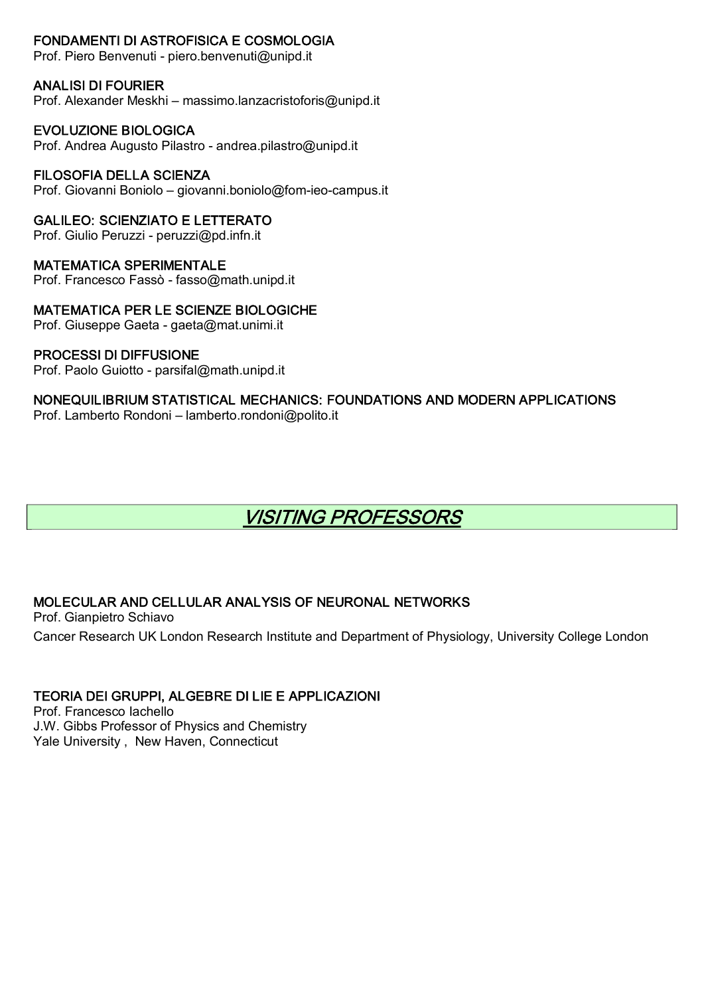## FONDAMENTI DI ASTROFISICA E COSMOLOGIA

Prof. Piero Benvenuti - [piero.benvenuti@unipd.it](mailto:piero.benvenuti@unipd.it)

#### ANALISI DI FOURIER

Prof. Alexander Meskhi – massimo.lanzacristoforis@unipd.it

#### EVOLUZIONE BIOLOGICA

Prof. Andrea Augusto Pilastro - [andrea.pilastro@unipd.it](mailto:andrea.pilastro@unipd.it)

#### FILOSOFIA DELLA SCIENZA

Prof. Giovanni Boniolo – giovanni.boniolo@fom-ieo-campus.it

#### GALILEO: SCIENZIATO E LETTERATO

Prof. Giulio Peruzzi - peruzzi@pd.infn.it

#### MATEMATICA SPERIMENTALE

Prof. Francesco Fassò - fasso@math.unipd.it

## MATEMATICA PER LE SCIENZE BIOLOGICHE

Prof. Giuseppe Gaeta - [gaeta@mat.unimi.it](mailto:gaeta@mat.unimi.it)

#### PROCESSI DI DIFFUSIONE

Prof. Paolo Guiotto - parsifal@math.unipd.it

#### NONEQUILIBRIUM STATISTICAL MECHANICS: FOUNDATIONS AND MODERN APPLICATIONS Prof. Lamberto Rondoni – [lamberto.rondoni@polito.it](mailto:lamberto.rondoni@polito.it)

## VISITING PROFESSORS

## MOLECULAR AND CELLULAR ANALYSIS OF NEURONAL NETWORKS

Prof. Gianpietro Schiavo Cancer Research UK London Research Institute and Department of Physiology, University College London

## TEORIA DEI GRUPPI, ALGEBRE DI LIE E APPLICAZIONI

Prof. Francesco Iachello J.W. Gibbs Professor of Physics and Chemistry Yale University , New Haven, Connecticut